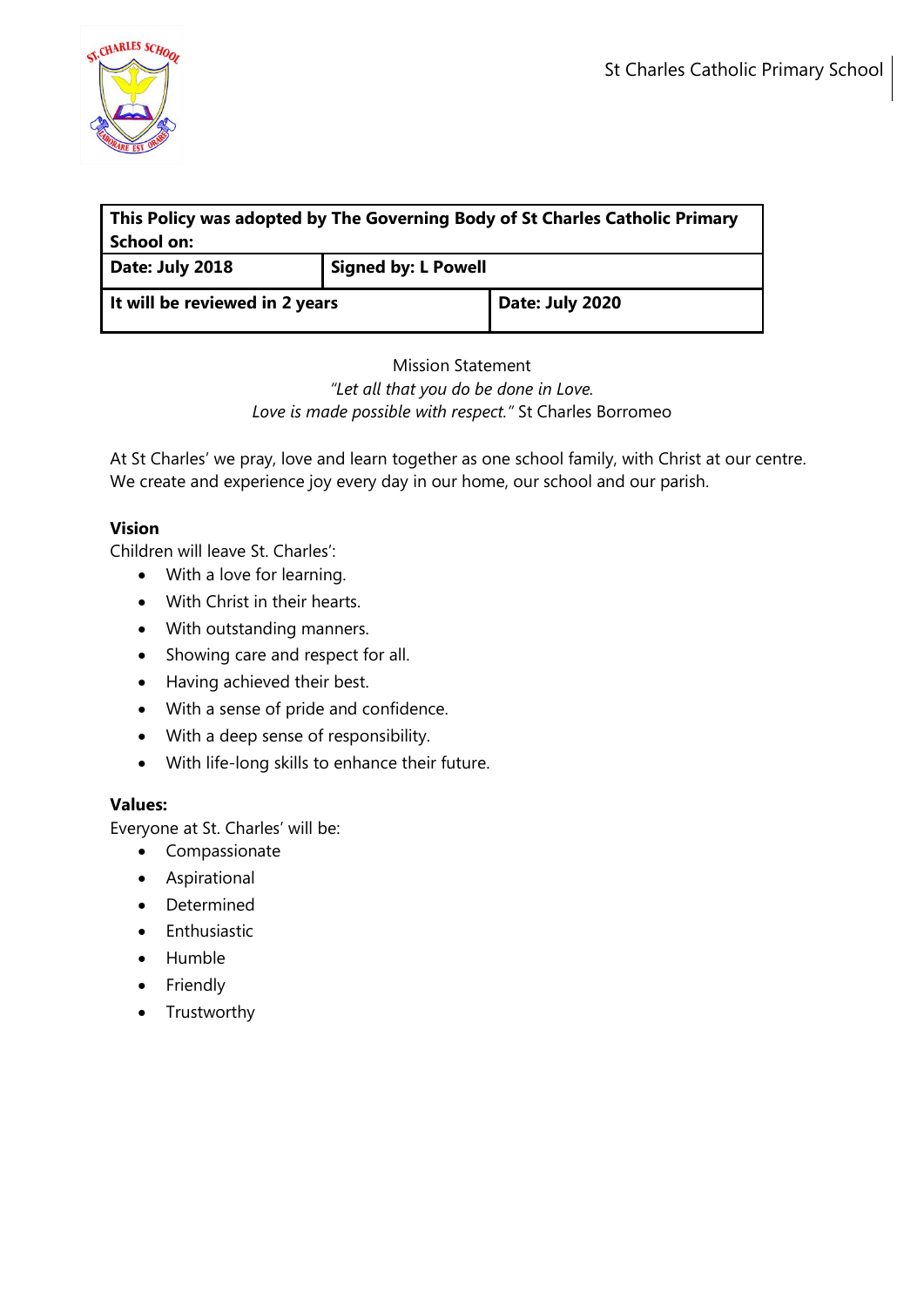

| This Policy was adopted by The Governing Body of St Charles Catholic Primary<br>School on: |                            |                 |
|--------------------------------------------------------------------------------------------|----------------------------|-----------------|
| Date: July 2018                                                                            | <b>Signed by: L Powell</b> |                 |
| It will be reviewed in 2 years                                                             |                            | Date: July 2020 |

## Mission Statement *"Let all that you do be done in Love. Love is made possible with respect."* St Charles Borromeo

At St Charles' we pray, love and learn together as one school family, with Christ at our centre. We create and experience joy every day in our home, our school and our parish.

# **Vision**

Children will leave St. Charles':

- With a love for learning.
- With Christ in their hearts.
- With outstanding manners.
- Showing care and respect for all.
- Having achieved their best.
- With a sense of pride and confidence.
- With a deep sense of responsibility.
- With life-long skills to enhance their future.

# **Values:**

Everyone at St. Charles' will be:

- Compassionate
- Aspirational
- Determined
- Enthusiastic
- Humble
- Friendly
- Trustworthy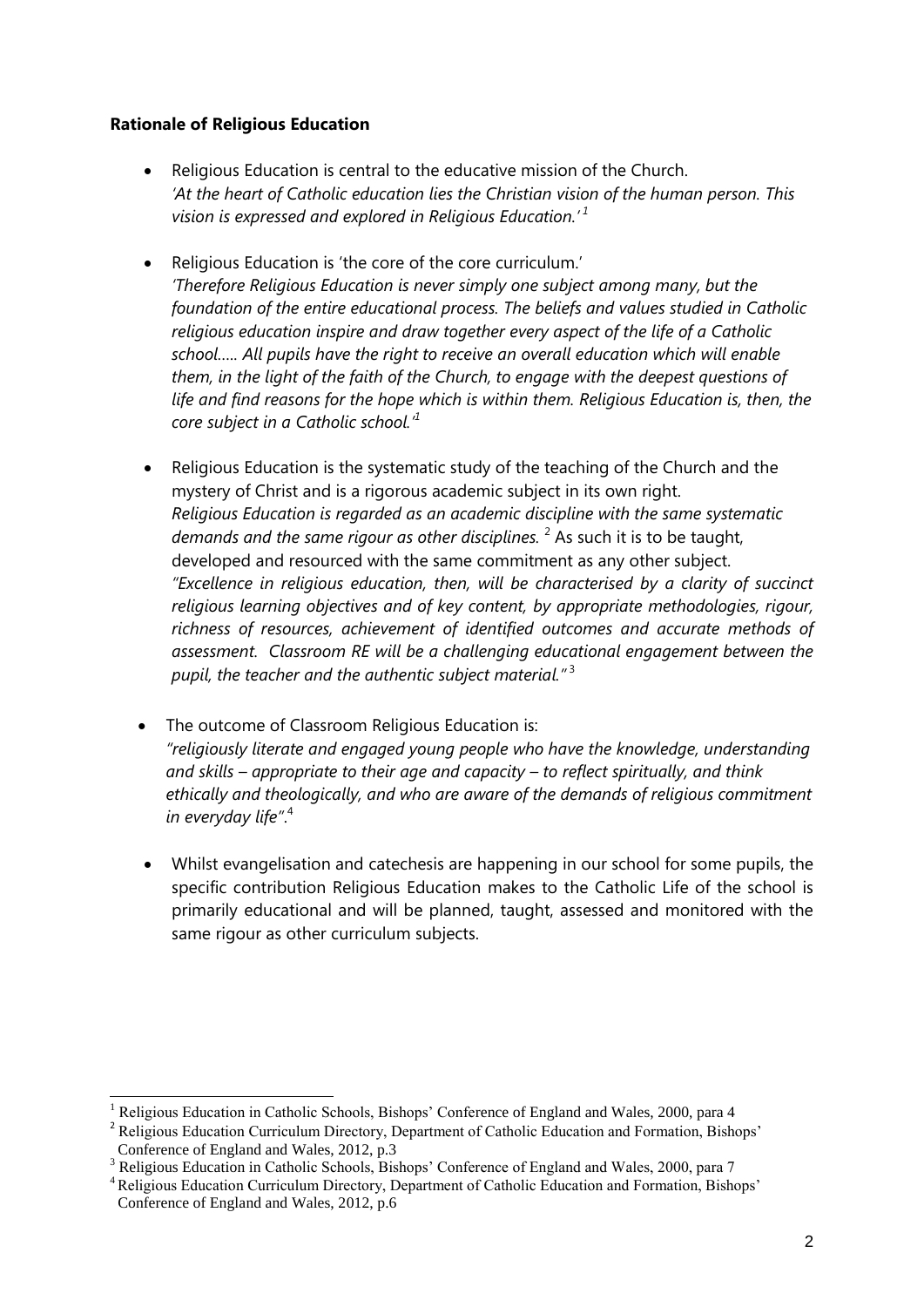#### **Rationale of Religious Education**

- Religious Education is central to the educative mission of the Church. 'At the heart of Catholic education lies the Christian vision of the human person. This *vision is expressed and explored in Religious Education.' <sup>1</sup>*
- Religious Education is 'the core of the core curriculum.' *'Therefore Religious Education is never simply one subject among many, but the foundation of the entire educational process. The beliefs and values studied in Catholic religious education inspire and draw together every aspect of the life of a Catholic school….. All pupils have the right to receive an overall education which will enable them, in the light of the faith of the Church, to engage with the deepest questions of life and find reasons for the hope which is within them. Religious Education is, then, the core subject in a Catholic school.'<sup>1</sup>*
- Religious Education is the systematic study of the teaching of the Church and the mystery of Christ and is a rigorous academic subject in its own right. *Religious Education is regarded as an academic discipline with the same systematic demands and the same rigour as other disciplines.* <sup>2</sup> As such it is to be taught, developed and resourced with the same commitment as any other subject. *"Excellence in religious education, then, will be characterised by a clarity of succinct religious learning objectives and of key content, by appropriate methodologies, rigour, richness of resources, achievement of identified outcomes and accurate methods of assessment. Classroom RE will be a challenging educational engagement between the pupil, the teacher and the authentic subject material."* <sup>3</sup>
- The outcome of Classroom Religious Education is: *"religiously literate and engaged young people who have the knowledge, understanding and skills – appropriate to their age and capacity – to reflect spiritually, and think ethically and theologically, and who are aware of the demands of religious commitment in everyday life"*. 4
- Whilst evangelisation and catechesis are happening in our school for some pupils, the specific contribution Religious Education makes to the Catholic Life of the school is primarily educational and will be planned, taught, assessed and monitored with the same rigour as other curriculum subjects.

 $\overline{a}$ 

<sup>1</sup> Religious Education in Catholic Schools, Bishops' Conference of England and Wales, 2000, para 4

<sup>&</sup>lt;sup>2</sup> Religious Education Curriculum Directory, Department of Catholic Education and Formation, Bishops' Conference of England and Wales, 2012, p.3

<sup>&</sup>lt;sup>3</sup> Religious Education in Catholic Schools, Bishops' Conference of England and Wales, 2000, para 7

<sup>&</sup>lt;sup>4</sup> Religious Education Curriculum Directory, Department of Catholic Education and Formation, Bishops' Conference of England and Wales, 2012, p.6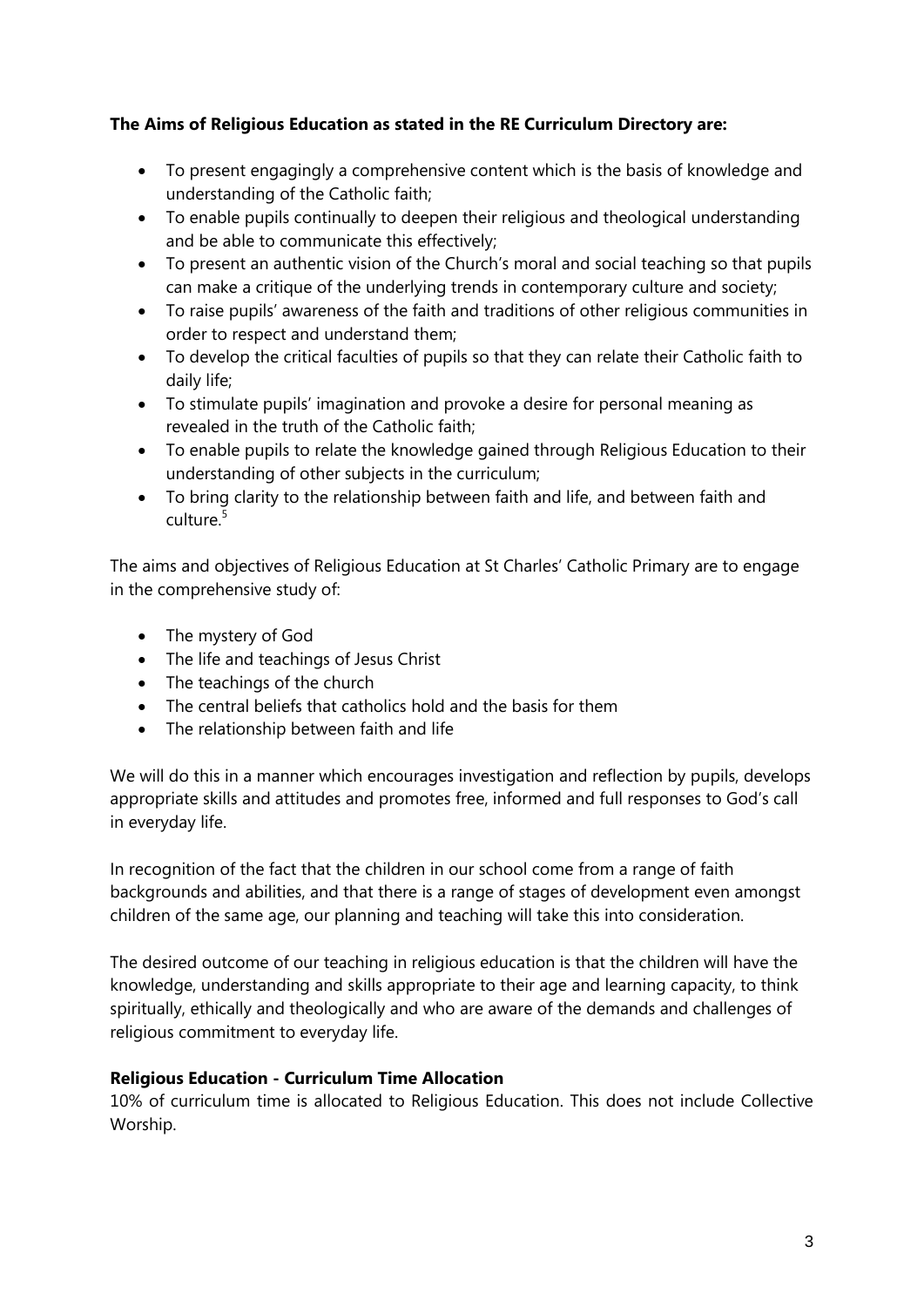### **The Aims of Religious Education as stated in the RE Curriculum Directory are:**

- To present engagingly a comprehensive content which is the basis of knowledge and understanding of the Catholic faith;
- To enable pupils continually to deepen their religious and theological understanding and be able to communicate this effectively;
- To present an authentic vision of the Church's moral and social teaching so that pupils can make a critique of the underlying trends in contemporary culture and society;
- To raise pupils' awareness of the faith and traditions of other religious communities in order to respect and understand them;
- To develop the critical faculties of pupils so that they can relate their Catholic faith to daily life;
- To stimulate pupils' imagination and provoke a desire for personal meaning as revealed in the truth of the Catholic faith;
- To enable pupils to relate the knowledge gained through Religious Education to their understanding of other subjects in the curriculum;
- To bring clarity to the relationship between faith and life, and between faith and culture<sup>5</sup>

The aims and objectives of Religious Education at St Charles' Catholic Primary are to engage in the comprehensive study of:

- The mystery of God
- The life and teachings of Jesus Christ
- The teachings of the church
- The central beliefs that catholics hold and the basis for them
- The relationship between faith and life

We will do this in a manner which encourages investigation and reflection by pupils, develops appropriate skills and attitudes and promotes free, informed and full responses to God's call in everyday life.

In recognition of the fact that the children in our school come from a range of faith backgrounds and abilities, and that there is a range of stages of development even amongst children of the same age, our planning and teaching will take this into consideration.

The desired outcome of our teaching in religious education is that the children will have the knowledge, understanding and skills appropriate to their age and learning capacity, to think spiritually, ethically and theologically and who are aware of the demands and challenges of religious commitment to everyday life.

# **Religious Education - Curriculum Time Allocation**

10% of curriculum time is allocated to Religious Education. This does not include Collective Worship.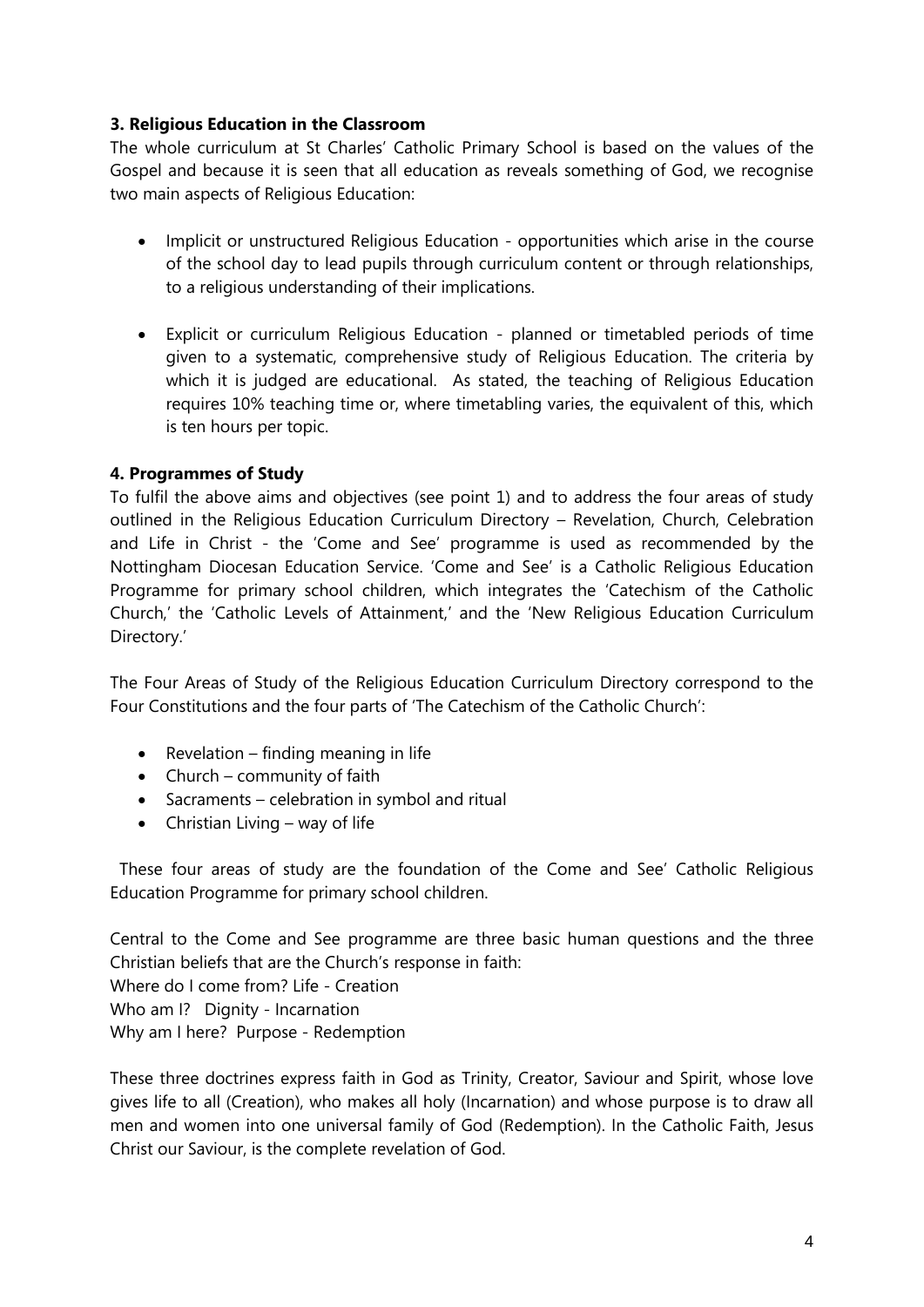#### **3. Religious Education in the Classroom**

The whole curriculum at St Charles' Catholic Primary School is based on the values of the Gospel and because it is seen that all education as reveals something of God, we recognise two main aspects of Religious Education:

- Implicit or unstructured Religious Education opportunities which arise in the course of the school day to lead pupils through curriculum content or through relationships, to a religious understanding of their implications.
- Explicit or curriculum Religious Education planned or timetabled periods of time given to a systematic, comprehensive study of Religious Education. The criteria by which it is judged are educational. As stated, the teaching of Religious Education requires 10% teaching time or, where timetabling varies, the equivalent of this, which is ten hours per topic.

### **4. Programmes of Study**

To fulfil the above aims and objectives (see point 1) and to address the four areas of study outlined in the Religious Education Curriculum Directory – Revelation, Church, Celebration and Life in Christ - the 'Come and See' programme is used as recommended by the Nottingham Diocesan Education Service. 'Come and See' is a Catholic Religious Education Programme for primary school children, which integrates the 'Catechism of the Catholic Church,' the 'Catholic Levels of Attainment,' and the 'New Religious Education Curriculum Directory.'

The Four Areas of Study of the Religious Education Curriculum Directory correspond to the Four Constitutions and the four parts of 'The Catechism of the Catholic Church':

- Revelation finding meaning in life
- Church community of faith
- Sacraments celebration in symbol and ritual
- $\bullet$  Christian Living way of life

 These four areas of study are the foundation of the Come and See' Catholic Religious Education Programme for primary school children.

Central to the Come and See programme are three basic human questions and the three Christian beliefs that are the Church's response in faith: Where do I come from? Life - Creation Who am I? Dignity - Incarnation Why am I here? Purpose - Redemption

These three doctrines express faith in God as Trinity, Creator, Saviour and Spirit, whose love gives life to all (Creation), who makes all holy (Incarnation) and whose purpose is to draw all men and women into one universal family of God (Redemption). In the Catholic Faith, Jesus Christ our Saviour, is the complete revelation of God.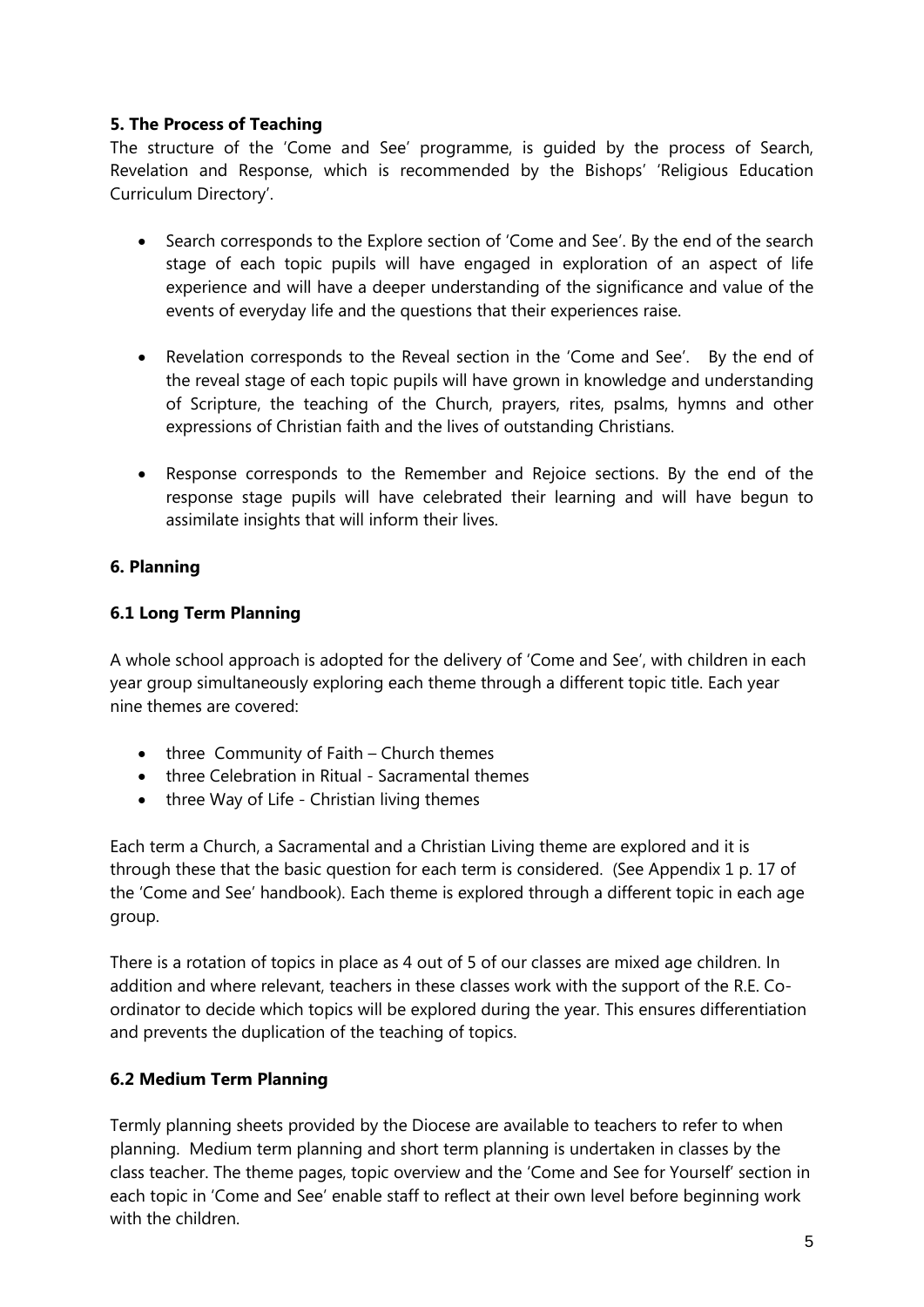### **5. The Process of Teaching**

The structure of the 'Come and See' programme, is guided by the process of Search, Revelation and Response, which is recommended by the Bishops' 'Religious Education Curriculum Directory'.

- Search corresponds to the Explore section of 'Come and See'. By the end of the search stage of each topic pupils will have engaged in exploration of an aspect of life experience and will have a deeper understanding of the significance and value of the events of everyday life and the questions that their experiences raise.
- Revelation corresponds to the Reveal section in the 'Come and See'. By the end of the reveal stage of each topic pupils will have grown in knowledge and understanding of Scripture, the teaching of the Church, prayers, rites, psalms, hymns and other expressions of Christian faith and the lives of outstanding Christians.
- Response corresponds to the Remember and Rejoice sections. By the end of the response stage pupils will have celebrated their learning and will have begun to assimilate insights that will inform their lives.

### **6. Planning**

# **6.1 Long Term Planning**

A whole school approach is adopted for the delivery of 'Come and See', with children in each year group simultaneously exploring each theme through a different topic title. Each year nine themes are covered:

- $\bullet$  three Community of Faith Church themes
- three Celebration in Ritual Sacramental themes
- three Way of Life Christian living themes

Each term a Church, a Sacramental and a Christian Living theme are explored and it is through these that the basic question for each term is considered. (See Appendix 1 p. 17 of the 'Come and See' handbook). Each theme is explored through a different topic in each age group.

There is a rotation of topics in place as 4 out of 5 of our classes are mixed age children. In addition and where relevant, teachers in these classes work with the support of the R.E. Coordinator to decide which topics will be explored during the year. This ensures differentiation and prevents the duplication of the teaching of topics.

#### **6.2 Medium Term Planning**

Termly planning sheets provided by the Diocese are available to teachers to refer to when planning. Medium term planning and short term planning is undertaken in classes by the class teacher. The theme pages, topic overview and the 'Come and See for Yourself' section in each topic in 'Come and See' enable staff to reflect at their own level before beginning work with the children.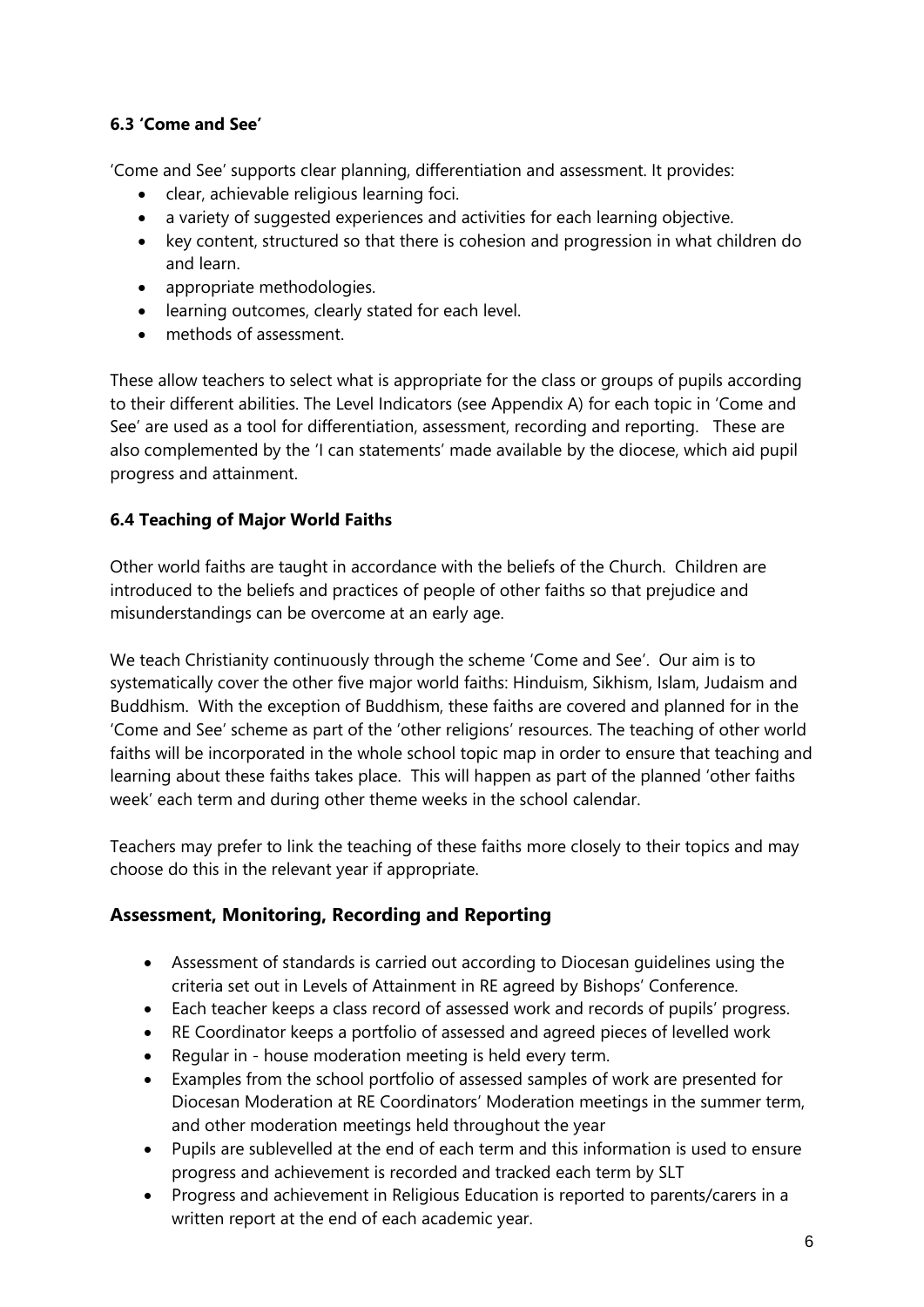# **6.3 'Come and See'**

'Come and See' supports clear planning, differentiation and assessment. It provides:

- clear, achievable religious learning foci.
- a variety of suggested experiences and activities for each learning objective.
- key content, structured so that there is cohesion and progression in what children do and learn.
- appropriate methodologies.
- learning outcomes, clearly stated for each level.
- methods of assessment.

These allow teachers to select what is appropriate for the class or groups of pupils according to their different abilities. The Level Indicators (see Appendix A) for each topic in 'Come and See' are used as a tool for differentiation, assessment, recording and reporting. These are also complemented by the 'I can statements' made available by the diocese, which aid pupil progress and attainment.

### **6.4 Teaching of Major World Faiths**

Other world faiths are taught in accordance with the beliefs of the Church. Children are introduced to the beliefs and practices of people of other faiths so that prejudice and misunderstandings can be overcome at an early age.

We teach Christianity continuously through the scheme 'Come and See'. Our aim is to systematically cover the other five major world faiths: Hinduism, Sikhism, Islam, Judaism and Buddhism. With the exception of Buddhism, these faiths are covered and planned for in the 'Come and See' scheme as part of the 'other religions' resources. The teaching of other world faiths will be incorporated in the whole school topic map in order to ensure that teaching and learning about these faiths takes place. This will happen as part of the planned 'other faiths week' each term and during other theme weeks in the school calendar.

Teachers may prefer to link the teaching of these faiths more closely to their topics and may choose do this in the relevant year if appropriate.

# **Assessment, Monitoring, Recording and Reporting**

- Assessment of standards is carried out according to Diocesan guidelines using the criteria set out in Levels of Attainment in RE agreed by Bishops' Conference.
- Each teacher keeps a class record of assessed work and records of pupils' progress.
- RE Coordinator keeps a portfolio of assessed and agreed pieces of levelled work
- Regular in house moderation meeting is held every term.
- Examples from the school portfolio of assessed samples of work are presented for Diocesan Moderation at RE Coordinators' Moderation meetings in the summer term, and other moderation meetings held throughout the year
- Pupils are sublevelled at the end of each term and this information is used to ensure progress and achievement is recorded and tracked each term by SLT
- Progress and achievement in Religious Education is reported to parents/carers in a written report at the end of each academic year.